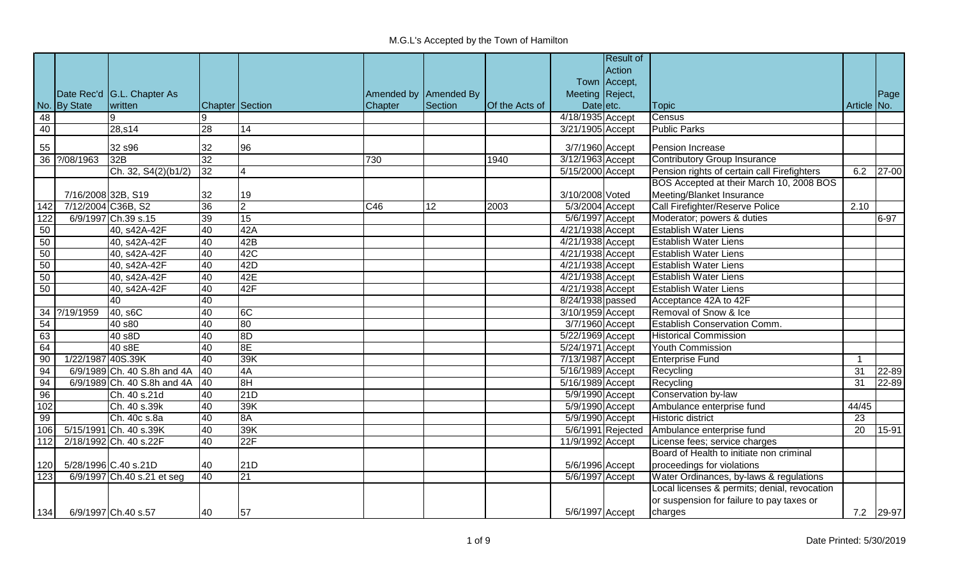|     |                    |                             |                 |                 |                       |                 |                |                  | <b>Result of</b>  |                                              |                 |           |
|-----|--------------------|-----------------------------|-----------------|-----------------|-----------------------|-----------------|----------------|------------------|-------------------|----------------------------------------------|-----------------|-----------|
|     |                    |                             |                 |                 |                       |                 |                |                  | Action            |                                              |                 |           |
|     |                    |                             |                 |                 |                       |                 |                |                  | Town Accept,      |                                              |                 |           |
|     |                    | Date Rec'd G.L. Chapter As  |                 |                 | Amended by Amended By |                 |                | Meeting Reject,  |                   |                                              |                 | Page      |
|     | No. By State       | written                     | Chapter Section |                 | Chapter               | <b>Section</b>  | Of the Acts of | Date $etc.$      |                   | Topic                                        | Article No.     |           |
| 48  |                    | l9                          | 9               |                 |                       |                 |                | 4/18/1935 Accept |                   | Census                                       |                 |           |
| 40  |                    | 28,s14                      | $\overline{28}$ | $\overline{14}$ |                       |                 |                | 3/21/1905 Accept |                   | <b>Public Parks</b>                          |                 |           |
|     |                    |                             |                 |                 |                       |                 |                |                  |                   |                                              |                 |           |
| 55  |                    | 32 s96                      | 32              | 96              |                       |                 |                | 3/7/1960 Accept  |                   | Pension Increase                             |                 |           |
|     |                    | 32B                         | 32              |                 | 730                   |                 | 1940           | 3/12/1963 Accept |                   | Contributory Group Insurance                 |                 |           |
|     |                    | Ch. 32, S4(2)(b1/2)         | $\overline{32}$ | $\overline{4}$  |                       |                 |                | 5/15/2000 Accept |                   | Pension rights of certain call Firefighters  | 6.2             | $27 - 00$ |
|     |                    |                             |                 |                 |                       |                 |                |                  |                   | BOS Accepted at their March 10, 2008 BOS     |                 |           |
|     | 7/16/2008 32B, S19 |                             | 32              | 19              |                       |                 |                | 3/10/2008 Voted  |                   | Meeting/Blanket Insurance                    |                 |           |
| 142 | 7/12/2004 C36B, S2 |                             | 36              | $\overline{2}$  | C46                   | $\overline{12}$ | 2003           | 5/3/2004 Accept  |                   | Call Firefighter/Reserve Police              | 2.10            |           |
| 122 |                    | 6/9/1997 Ch.39 s.15         | 39              | 15              |                       |                 |                | 5/6/1997 Accept  |                   | Moderator; powers & duties                   |                 | $6 - 97$  |
| 50  |                    | 40, s42A-42F                | 40              | 42A             |                       |                 |                | 4/21/1938 Accept |                   | <b>Establish Water Liens</b>                 |                 |           |
| 50  |                    | 40, s42A-42F                | 40              | 42B             |                       |                 |                | 4/21/1938 Accept |                   | <b>Establish Water Liens</b>                 |                 |           |
| 50  |                    | 40, s42A-42F                | 40              | 42C             |                       |                 |                | 4/21/1938 Accept |                   | <b>Establish Water Liens</b>                 |                 |           |
| 50  |                    | 40, s42A-42F                | 40              | 42D             |                       |                 |                | 4/21/1938 Accept |                   | <b>Establish Water Liens</b>                 |                 |           |
| 50  |                    | 40, s42A-42F                | 40              | 42E             |                       |                 |                | 4/21/1938 Accept |                   | <b>Establish Water Liens</b>                 |                 |           |
| 50  |                    | 40, s42A-42F                | 40              | 42F             |                       |                 |                | 4/21/1938 Accept |                   | <b>Establish Water Liens</b>                 |                 |           |
|     |                    | 40                          | 40              |                 |                       |                 |                | 8/24/1938 passed |                   | Acceptance 42A to 42F                        |                 |           |
| 34  | ?/19/1959          | 40, s6C                     | 40              | 6C              |                       |                 |                | 3/10/1959 Accept |                   | Removal of Snow & Ice                        |                 |           |
| 54  |                    | 40 s80                      | 40              | 80              |                       |                 |                | 3/7/1960 Accept  |                   | <b>Establish Conservation Comm.</b>          |                 |           |
| 63  |                    | 40 s8D                      | 40              | 8D              |                       |                 |                | 5/22/1969 Accept |                   | <b>Historical Commission</b>                 |                 |           |
| 64  |                    | 40 s8E                      | 40              | 8E              |                       |                 |                | 5/24/1971 Accept |                   | <b>Youth Commission</b>                      |                 |           |
| 90  | 1/22/1987 40S.39K  |                             | 40              | 39K             |                       |                 |                | 7/13/1987 Accept |                   | <b>Enterprise Fund</b>                       | 1               |           |
| 94  |                    | 6/9/1989 Ch. 40 S.8h and 4A | 40              | 4A              |                       |                 |                | 5/16/1989 Accept |                   | Recycling                                    | $\overline{31}$ | 22-89     |
| 94  |                    | 6/9/1989 Ch. 40 S.8h and 4A | $ 40\rangle$    | $\overline{8H}$ |                       |                 |                | 5/16/1989 Accept |                   | Recycling                                    | $\overline{31}$ | 22-89     |
| 96  |                    | Ch. 40 s.21d                | 40              | 21D             |                       |                 |                | 5/9/1990 Accept  |                   | Conservation by-law                          |                 |           |
| 102 |                    | Ch. 40 s.39k                | 40              | 39K             |                       |                 |                | 5/9/1990 Accept  |                   | Ambulance enterprise fund                    | 44/45           |           |
| 99  |                    | Ch. 40c s.8a                | 40              | 8A              |                       |                 |                | 5/9/1990 Accept  |                   | Historic district                            | $\overline{23}$ |           |
| 106 |                    | 5/15/1991 Ch. 40 s.39K      | 40              | 39K             |                       |                 |                |                  | 5/6/1991 Rejected | Ambulance enterprise fund                    | $\overline{20}$ | 15-91     |
| 112 |                    | 2/18/1992 Ch. 40 s.22F      | 40              | 22F             |                       |                 |                | 11/9/1992 Accept |                   | License fees; service charges                |                 |           |
|     |                    |                             |                 |                 |                       |                 |                |                  |                   | Board of Health to initiate non criminal     |                 |           |
| 120 |                    | 5/28/1996 C.40 s.21D        | 40              | 21D             |                       |                 |                | 5/6/1996 Accept  |                   | proceedings for violations                   |                 |           |
| 123 |                    | 6/9/1997 Ch.40 s.21 et seg  | 40              | 21              |                       |                 |                | 5/6/1997 Accept  |                   | Water Ordinances, by-laws & regulations      |                 |           |
|     |                    |                             |                 |                 |                       |                 |                |                  |                   | Local licenses & permits; denial, revocation |                 |           |
|     |                    |                             |                 |                 |                       |                 |                |                  |                   | or suspension for failure to pay taxes or    |                 |           |
| 134 |                    | 6/9/1997 Ch.40 s.57         | 40              | 57              |                       |                 |                | 5/6/1997 Accept  |                   | charges                                      |                 | 7.2 29-97 |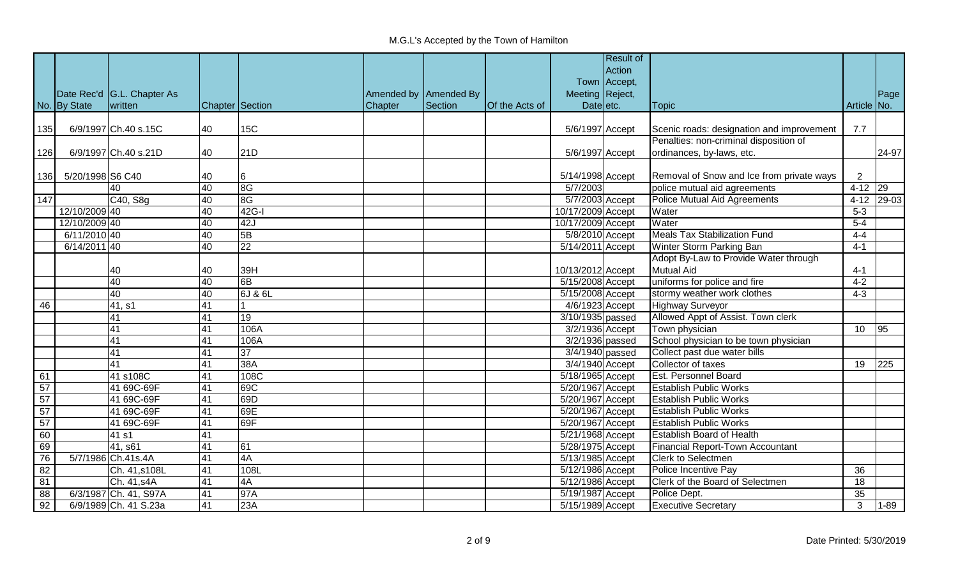|                 |                  |                                       |                        |                |                       |                |                |                   | <b>Result of</b> |                                           |                 |          |
|-----------------|------------------|---------------------------------------|------------------------|----------------|-----------------------|----------------|----------------|-------------------|------------------|-------------------------------------------|-----------------|----------|
|                 |                  |                                       |                        |                |                       |                |                |                   | Action           |                                           |                 |          |
|                 |                  |                                       |                        |                |                       |                |                |                   | Town Accept,     |                                           |                 |          |
|                 |                  | Date Rec'd G.L. Chapter As<br>written |                        |                | Amended by Amended By | <b>Section</b> |                | Meeting Reject,   |                  |                                           |                 | Page     |
|                 | No. By State     |                                       | <b>Chapter Section</b> |                | Chapter               |                | Of the Acts of | Date etc.         |                  | Topic                                     | Article No.     |          |
| 135             |                  | 6/9/1997 Ch.40 s.15C                  | 40                     | <b>15C</b>     |                       |                |                | 5/6/1997 Accept   |                  | Scenic roads: designation and improvement | 7.7             |          |
|                 |                  |                                       |                        |                |                       |                |                |                   |                  | Penalties: non-criminal disposition of    |                 |          |
| 126             |                  | 6/9/1997 Ch.40 s.21D                  | 40                     | 21D            |                       |                |                | 5/6/1997 Accept   |                  | ordinances, by-laws, etc.                 |                 | 24-97    |
|                 |                  |                                       |                        |                |                       |                |                |                   |                  |                                           |                 |          |
| 136             | 5/20/1998 S6 C40 |                                       | 40                     | 16             |                       |                |                | 5/14/1998 Accept  |                  | Removal of Snow and Ice from private ways | $\overline{2}$  |          |
|                 |                  | 40                                    | 40                     | 8G             |                       |                |                | 5/7/2003          |                  | police mutual aid agreements              | $4 - 12$        | 29       |
| 147             |                  | C40, S8g                              | 40                     | 8G             |                       |                |                | 5/7/2003 Accept   |                  | <b>Police Mutual Aid Agreements</b>       | $4 - 12$        | 29-03    |
|                 | 12/10/2009 40    |                                       | 40                     | $42G-I$        |                       |                |                | 10/17/2009 Accept |                  | Water                                     | $5-3$           |          |
|                 | 12/10/2009 40    |                                       | 40                     | 42J            |                       |                |                | 10/17/2009 Accept |                  | Water                                     | $5-4$           |          |
|                 | 6/11/2010 40     |                                       | 40                     | 5B             |                       |                |                | 5/8/2010 Accept   |                  | <b>Meals Tax Stabilization Fund</b>       | $4 - 4$         |          |
|                 | 6/14/2011 40     |                                       | 40                     | 22             |                       |                |                | 5/14/2011 Accept  |                  | Winter Storm Parking Ban                  | $4 - 1$         |          |
|                 |                  |                                       |                        |                |                       |                |                |                   |                  | Adopt By-Law to Provide Water through     |                 |          |
|                 |                  | 40                                    | 40                     | 39H            |                       |                |                | 10/13/2012 Accept |                  | <b>Mutual Aid</b>                         | $4 - 1$         |          |
|                 |                  | 40                                    | 40                     | 6 <sub>B</sub> |                       |                |                | 5/15/2008 Accept  |                  | uniforms for police and fire              | $4 - 2$         |          |
|                 |                  | 40                                    | 40                     | 6J & 6L        |                       |                |                | 5/15/2008 Accept  |                  | stormy weather work clothes               | $4 - 3$         |          |
| 46              |                  | $\overline{41}$ , s1                  | 41                     |                |                       |                |                | 4/6/1923 Accept   |                  | <b>Highway Surveyor</b>                   |                 |          |
|                 |                  | 41                                    | 41                     | 19             |                       |                |                | 3/10/1935 passed  |                  | Allowed Appt of Assist. Town clerk        |                 |          |
|                 |                  | 41                                    | 41                     | 106A           |                       |                |                | 3/2/1936 Accept   |                  | Town physician                            | 10 <sup>°</sup> | 95       |
|                 |                  | 41                                    | 41                     | 106A           |                       |                |                | 3/2/1936 passed   |                  | School physician to be town physician     |                 |          |
|                 |                  | 41                                    | 41                     | 37             |                       |                |                | 3/4/1940 passed   |                  | Collect past due water bills              |                 |          |
|                 |                  | $\overline{41}$                       | 41                     | 38A            |                       |                |                | 3/4/1940 Accept   |                  | Collector of taxes                        | $\overline{19}$ | 225      |
| 61              |                  | 41 s108C                              | 41                     | 108C           |                       |                |                | 5/18/1965 Accept  |                  | Est. Personnel Board                      |                 |          |
| $\overline{57}$ |                  | 41 69C-69F                            | 41                     | 69C            |                       |                |                | 5/20/1967 Accept  |                  | <b>Establish Public Works</b>             |                 |          |
| $\overline{57}$ |                  | 41 69C-69F                            | $\overline{41}$        | 69D            |                       |                |                | 5/20/1967 Accept  |                  | <b>Establish Public Works</b>             |                 |          |
| $\overline{57}$ |                  | 41 69C-69F                            | $\overline{41}$        | 69E            |                       |                |                | 5/20/1967 Accept  |                  | <b>Establish Public Works</b>             |                 |          |
| 57              |                  | 41 69C-69F                            | 41                     | 69F            |                       |                |                | 5/20/1967 Accept  |                  | <b>Establish Public Works</b>             |                 |          |
| 60              |                  | 41 s1                                 | 41                     |                |                       |                |                | 5/21/1968 Accept  |                  | <b>Establish Board of Health</b>          |                 |          |
| 69              |                  | 41, s61                               | 41                     | 61             |                       |                |                | 5/28/1975 Accept  |                  | <b>Financial Report-Town Accountant</b>   |                 |          |
| 76              |                  | 5/7/1986 Ch.41s.4A                    | 41                     | 4A             |                       |                |                | 5/13/1985 Accept  |                  | <b>Clerk to Selectmen</b>                 |                 |          |
| 82              |                  | Ch. 41, s108L                         | 41                     | 108L           |                       |                |                | 5/12/1986 Accept  |                  | Police Incentive Pay                      | $\overline{36}$ |          |
| 81              |                  | Ch. 41, s4A                           | 41                     | 4A             |                       |                |                | 5/12/1986 Accept  |                  | Clerk of the Board of Selectmen           | $\overline{18}$ |          |
| 88              |                  | 6/3/1987 Ch. 41, S97A                 | 41                     | 97A            |                       |                |                | 5/19/1987 Accept  |                  | Police Dept.                              | $\overline{35}$ |          |
| 92              |                  | 6/9/1989 Ch. 41 S.23a                 | 41                     | 23A            |                       |                |                | 5/15/1989 Accept  |                  | <b>Executive Secretary</b>                | 3               | $1 - 89$ |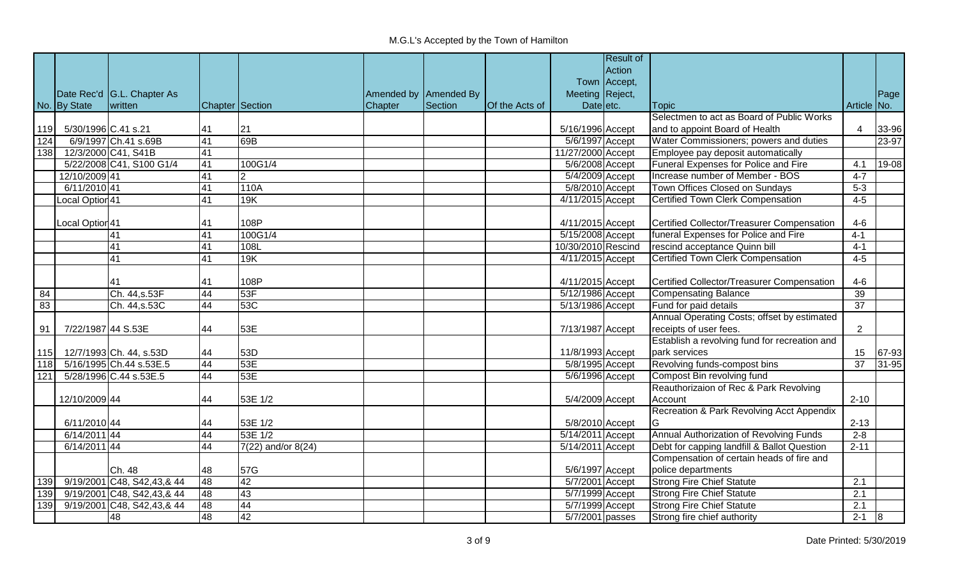|                  |                     |                              |                        |                    |                       |         |                |                    | <b>Result of</b> |                                               |                  |           |
|------------------|---------------------|------------------------------|------------------------|--------------------|-----------------------|---------|----------------|--------------------|------------------|-----------------------------------------------|------------------|-----------|
|                  |                     |                              |                        |                    |                       |         |                |                    | Action           |                                               |                  |           |
|                  |                     |                              |                        |                    |                       |         |                |                    | Town Accept,     |                                               |                  |           |
|                  |                     | Date Rec'd G.L. Chapter As   |                        |                    | Amended by Amended By |         |                | Meeting Reject,    |                  |                                               |                  | Page      |
|                  | No. By State        | written                      | <b>Chapter Section</b> |                    | Chapter               | Section | Of the Acts of | Date etc.          |                  | <b>Topic</b>                                  | Article No.      |           |
|                  |                     |                              |                        |                    |                       |         |                |                    |                  | Selectmen to act as Board of Public Works     |                  |           |
| 119              | 5/30/1996 C.41 s.21 |                              | 41                     | 21                 |                       |         |                | 5/16/1996 Accept   |                  | and to appoint Board of Health                | 4                | 33-96     |
| 124              |                     | 6/9/1997 Ch.41 s.69B         | 41                     | 69B                |                       |         |                | 5/6/1997 Accept    |                  | Water Commissioners; powers and duties        |                  | 23-97     |
| 138              |                     | 12/3/2000 C41, S41B          | 41                     |                    |                       |         |                | 11/27/2000 Accept  |                  | Employee pay deposit automatically            |                  |           |
|                  |                     | 5/22/2008 C41, S100 G1/4     | 41                     | 100G1/4            |                       |         |                | 5/6/2008 Accept    |                  | <b>Funeral Expenses for Police and Fire</b>   | 4.1              | $19 - 08$ |
|                  | 12/10/2009 41       |                              | 41                     |                    |                       |         |                | 5/4/2009 Accept    |                  | Increase number of Member - BOS               | $4 - 7$          |           |
|                  | 6/11/2010 41        |                              | 41                     | 110A               |                       |         |                | 5/8/2010 Accept    |                  | Town Offices Closed on Sundays                | $5-3$            |           |
|                  | Local Optior 41     |                              | $\overline{41}$        | 19K                |                       |         |                | 4/11/2015 Accept   |                  | <b>Certified Town Clerk Compensation</b>      | $4 - 5$          |           |
|                  |                     |                              |                        |                    |                       |         |                |                    |                  |                                               |                  |           |
|                  | Local Option 41     |                              | 41                     | 108P               |                       |         |                | 4/11/2015 Accept   |                  | Certified Collector/Treasurer Compensation    | $4-6$            |           |
|                  |                     | 41                           | 41                     | 100G1/4            |                       |         |                | 5/15/2008 Accept   |                  | funeral Expenses for Police and Fire          | $4 - 1$          |           |
|                  |                     | 41                           | $\overline{41}$        | 108L               |                       |         |                | 10/30/2010 Rescind |                  | rescind acceptance Quinn bill                 | $4 - 1$          |           |
|                  |                     | $\overline{41}$              | 41                     | 19K                |                       |         |                | 4/11/2015 Accept   |                  | <b>Certified Town Clerk Compensation</b>      | $4 - 5$          |           |
|                  |                     |                              |                        |                    |                       |         |                |                    |                  |                                               |                  |           |
|                  |                     | 41                           | 41                     | 108P               |                       |         |                | 4/11/2015 Accept   |                  | Certified Collector/Treasurer Compensation    | $4 - 6$          |           |
| 84               |                     | Ch. 44, s. 53F               | 44                     | 53F                |                       |         |                | 5/12/1986 Accept   |                  | <b>Compensating Balance</b>                   | 39               |           |
| $\overline{83}$  |                     | Ch. 44, s. 53C               | 44                     | 53C                |                       |         |                | 5/13/1986 Accept   |                  | Fund for paid details                         | 37               |           |
|                  |                     |                              |                        |                    |                       |         |                |                    |                  | Annual Operating Costs; offset by estimated   |                  |           |
| 91               | 7/22/1987 44 S.53E  |                              | 44                     | 53E                |                       |         |                | 7/13/1987 Accept   |                  | receipts of user fees.                        | $\overline{2}$   |           |
|                  |                     |                              |                        |                    |                       |         |                |                    |                  | Establish a revolving fund for recreation and |                  |           |
| 115              |                     | 12/7/1993 Ch. 44, s.53D      | 44                     | 53D                |                       |         |                | 11/8/1993 Accept   |                  | park services                                 | 15               | 67-93     |
| 118              |                     | 5/16/1995 Ch.44 s.53E.5      | 44                     | 53E                |                       |         |                | 5/8/1995 Accept    |                  | Revolving funds-compost bins                  | $\overline{37}$  | $31 - 95$ |
| 121              |                     | 5/28/1996 C.44 s.53E.5       | 44                     | 53E                |                       |         |                | 5/6/1996 Accept    |                  | Compost Bin revolving fund                    |                  |           |
|                  |                     |                              |                        |                    |                       |         |                |                    |                  | Reauthorizaion of Rec & Park Revolving        |                  |           |
|                  | 12/10/2009 44       |                              | 44                     | 53E 1/2            |                       |         |                | 5/4/2009 Accept    |                  | Account                                       | $2 - 10$         |           |
|                  |                     |                              |                        |                    |                       |         |                |                    |                  | Recreation & Park Revolving Acct Appendix     |                  |           |
|                  | 6/11/2010 44        |                              | 44                     | 53E 1/2            |                       |         |                | 5/8/2010 Accept    |                  | G                                             | $2 - 13$         |           |
|                  | 6/14/2011 44        |                              | $\overline{44}$        | $53E$ 1/2          |                       |         |                | 5/14/2011 Accept   |                  | Annual Authorization of Revolving Funds       | $2 - 8$          |           |
|                  | 6/14/2011 44        |                              | 44                     | 7(22) and/or 8(24) |                       |         |                | 5/14/2011 Accept   |                  | Debt for capping landfill & Ballot Question   | $2 - 11$         |           |
|                  |                     |                              |                        |                    |                       |         |                |                    |                  | Compensation of certain heads of fire and     |                  |           |
|                  |                     | Ch. 48                       | 48                     | 57G                |                       |         |                | 5/6/1997 Accept    |                  | police departments                            |                  |           |
| 139              |                     | 9/19/2001 C48, S42, 43, & 44 | 48                     | 42                 |                       |         |                | 5/7/2001 Accept    |                  | <b>Strong Fire Chief Statute</b>              | 2.1              |           |
| 139              |                     | 9/19/2001 C48, S42, 43, & 44 | 48                     | 43                 |                       |         |                | 5/7/1999 Accept    |                  | <b>Strong Fire Chief Statute</b>              | $\overline{2.1}$ |           |
| $\overline{139}$ |                     | 9/19/2001 C48, S42, 43, & 44 | 48                     | 44                 |                       |         |                | 5/7/1999 Accept    |                  | Strong Fire Chief Statute                     | 2.1              |           |
|                  |                     | 48                           | 48                     | 42                 |                       |         |                | 5/7/2001 passes    |                  | Strong fire chief authority                   | $2 - 1$          | 8         |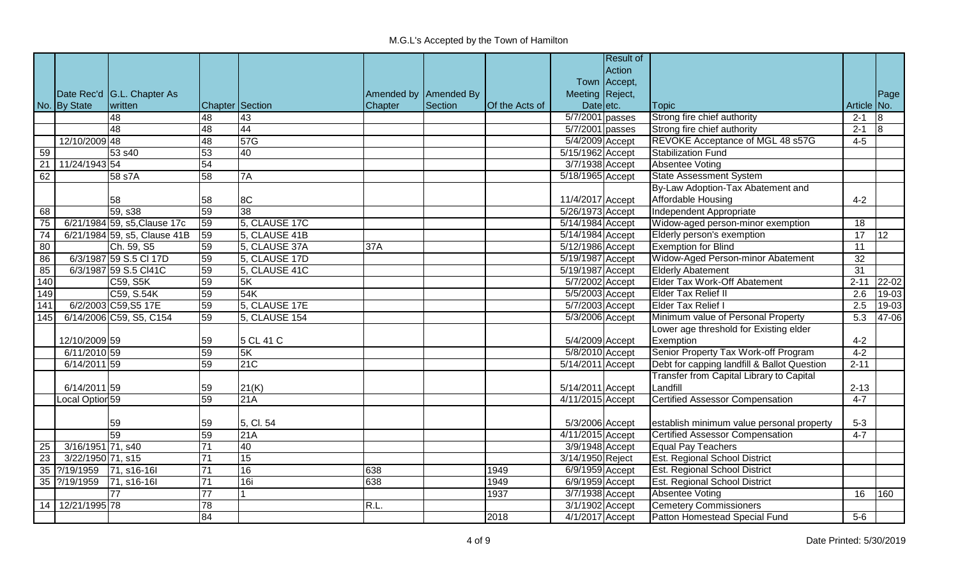|                 |                   |                              |                 |               |                       |         |                |                  | <b>Result of</b> |                                             |                 |           |
|-----------------|-------------------|------------------------------|-----------------|---------------|-----------------------|---------|----------------|------------------|------------------|---------------------------------------------|-----------------|-----------|
|                 |                   |                              |                 |               |                       |         |                |                  | Action           |                                             |                 |           |
|                 |                   |                              |                 |               |                       |         |                |                  | Town Accept,     |                                             |                 |           |
|                 |                   | Date Rec'd G.L. Chapter As   |                 |               | Amended by Amended By |         |                | Meeting Reject,  |                  |                                             |                 | Page      |
|                 | No. By State      | written                      | Chapter Section |               | <b>Chapter</b>        | Section | Of the Acts of | Date etc.        |                  | Topic                                       | Article No.     |           |
|                 |                   | 48                           | 48              | 43            |                       |         |                | 5/7/2001 passes  |                  | Strong fire chief authority                 | $2 - 1$         | 8         |
|                 |                   | 48                           | 48              | 44            |                       |         |                | 5/7/2001 passes  |                  | Strong fire chief authority                 | $2 - 1$         | l8        |
|                 | 12/10/2009 48     |                              | 48              | 57G           |                       |         |                | 5/4/2009 Accept  |                  | REVOKE Acceptance of MGL 48 s57G            | $4-5$           |           |
| 59              |                   | 53 s40                       | 53              | 40            |                       |         |                | 5/15/1962 Accept |                  | <b>Stabilization Fund</b>                   |                 |           |
| $\overline{21}$ | 11/24/1943 54     |                              | $\overline{54}$ |               |                       |         |                | 3/7/1938 Accept  |                  | <b>Absentee Voting</b>                      |                 |           |
| 62              |                   | 58 s7A                       | 58              | 7A            |                       |         |                | 5/18/1965 Accept |                  | <b>State Assessment System</b>              |                 |           |
|                 |                   |                              |                 |               |                       |         |                |                  |                  | By-Law Adoption-Tax Abatement and           |                 |           |
|                 |                   | 58                           | 58              | 8C            |                       |         |                | 11/4/2017 Accept |                  | Affordable Housing                          | $4 - 2$         |           |
| 68              |                   | 59, s38                      | 59              | 38            |                       |         |                | 5/26/1973 Accept |                  | Independent Appropriate                     |                 |           |
| 75              |                   | 6/21/1984 59, s5, Clause 17c | 59              | 5, CLAUSE 17C |                       |         |                | 5/14/1984 Accept |                  | Widow-aged person-minor exemption           | $\overline{18}$ |           |
| 74              |                   | 6/21/1984 59, s5, Clause 41B | 59              | 5, CLAUSE 41B |                       |         |                | 5/14/1984 Accept |                  | Elderly person's exemption                  | $\overline{17}$ | 12        |
| 80              |                   | Ch. 59, S5                   | 59              | 5, CLAUSE 37A | 37A                   |         |                | 5/12/1986 Accept |                  | <b>Exemption for Blind</b>                  | 11              |           |
| 86              |                   | 6/3/1987 59 S.5 Cl 17D       | 59              | 5, CLAUSE 17D |                       |         |                | 5/19/1987 Accept |                  | Widow-Aged Person-minor Abatement           | $\overline{32}$ |           |
| 85              |                   | 6/3/1987 59 S.5 Cl41C        | 59              | 5, CLAUSE 41C |                       |         |                | 5/19/1987 Accept |                  | <b>Elderly Abatement</b>                    | $\overline{31}$ |           |
| 140             |                   | C59, S5K                     | 59              | 5K            |                       |         |                | 5/7/2002 Accept  |                  | <b>Elder Tax Work-Off Abatement</b>         | $2 - 11$        | $22 - 02$ |
| 149             |                   | C59, S.54K                   | 59              | 54K           |                       |         |                | 5/5/2003 Accept  |                  | <b>Elder Tax Relief II</b>                  | 2.6             | $19 - 03$ |
| 141             |                   | 6/2/2003 C59, S5 17E         | 59              | 5, CLAUSE 17E |                       |         |                | 5/7/2003 Accept  |                  | <b>Elder Tax Relief I</b>                   | 2.5             | $19-03$   |
| 145             |                   | 6/14/2006 C59, S5, C154      | 59              | 5, CLAUSE 154 |                       |         |                | 5/3/2006 Accept  |                  | Minimum value of Personal Property          | 5.3             | 47-06     |
|                 |                   |                              |                 |               |                       |         |                |                  |                  | Lower age threshold for Existing elder      |                 |           |
|                 | 12/10/2009 59     |                              | 59              | 5 CL 41 C     |                       |         |                | 5/4/2009 Accept  |                  | Exemption                                   | $4 - 2$         |           |
|                 | 6/11/2010 59      |                              | 59              | 5K            |                       |         |                | 5/8/2010 Accept  |                  | Senior Property Tax Work-off Program        | $4 - 2$         |           |
|                 | 6/14/2011 59      |                              | 59              | 21C           |                       |         |                | 5/14/2011 Accept |                  | Debt for capping landfill & Ballot Question | $2 - 11$        |           |
|                 |                   |                              |                 |               |                       |         |                |                  |                  | Transfer from Capital Library to Capital    |                 |           |
|                 | 6/14/2011 59      |                              | 59              | 21(K)         |                       |         |                | 5/14/2011 Accept |                  | Landfill                                    | $2 - 13$        |           |
|                 | Local Option 59   |                              | 59              | 21A           |                       |         |                | 4/11/2015 Accept |                  | <b>Certified Assessor Compensation</b>      | $4 - 7$         |           |
|                 |                   |                              |                 |               |                       |         |                |                  |                  |                                             |                 |           |
|                 |                   | 59                           | 59              | 5, Cl. 54     |                       |         |                | 5/3/2006 Accept  |                  | establish minimum value personal property   | $5-3$           |           |
|                 |                   | 59                           | 59              | 21A           |                       |         |                | 4/11/2015 Accept |                  | <b>Certified Assessor Compensation</b>      | $4 - 7$         |           |
| $\overline{25}$ | 3/16/1951 71, s40 |                              | $\overline{71}$ | 40            |                       |         |                | 3/9/1948 Accept  |                  | <b>Equal Pay Teachers</b>                   |                 |           |
| $\overline{23}$ | 3/22/1950 71, s15 |                              | $\overline{71}$ | 15            |                       |         |                | 3/14/1950 Reject |                  | <b>Est. Regional School District</b>        |                 |           |
| 35              | ?/19/1959         | 71, s16-16I                  | $\overline{71}$ | 16            | 638                   |         | 1949           | 6/9/1959 Accept  |                  | <b>Est. Regional School District</b>        |                 |           |
| 35              | ?/19/1959         | 71, s16-16l                  | $\overline{71}$ | 16i           | 638                   |         | 1949           | 6/9/1959 Accept  |                  | <b>Est. Regional School District</b>        |                 |           |
|                 |                   | 77                           | 77              |               |                       |         | 1937           | 3/7/1938 Accept  |                  | Absentee Voting                             | 16              | 160       |
|                 | 14 12/21/1995 78  |                              | 78              |               | R.L.                  |         |                | 3/1/1902 Accept  |                  | <b>Cemetery Commissioners</b>               |                 |           |
|                 |                   |                              | $\overline{84}$ |               |                       |         | 2018           | 4/1/2017 Accept  |                  | Patton Homestead Special Fund               | $5-6$           |           |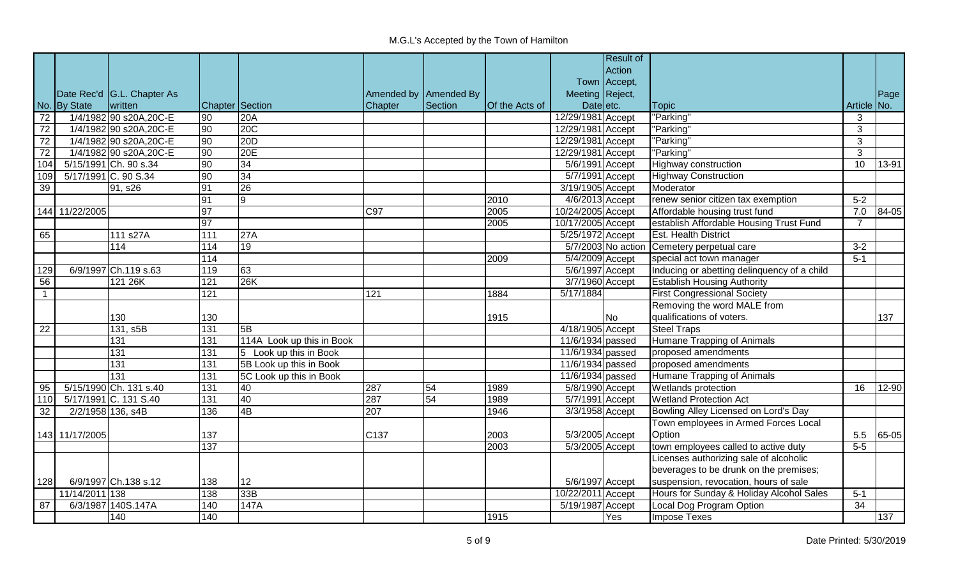|                 |                      |                            |                        |                           |                  |                       |                |                   | <b>Result of</b> |                                             |                |           |
|-----------------|----------------------|----------------------------|------------------------|---------------------------|------------------|-----------------------|----------------|-------------------|------------------|---------------------------------------------|----------------|-----------|
|                 |                      |                            |                        |                           |                  |                       |                |                   | Action           |                                             |                |           |
|                 |                      |                            |                        |                           |                  |                       |                |                   | Town Accept,     |                                             |                |           |
|                 |                      | Date Rec'd G.L. Chapter As |                        |                           |                  | Amended by Amended By |                | Meeting Reject,   |                  |                                             |                | Page      |
|                 | No. By State         | written                    | <b>Chapter Section</b> |                           | Chapter          | <b>Section</b>        | Of the Acts of | Date $etc.$       |                  | Topic                                       | Article No.    |           |
| 72              |                      | 1/4/1982 90 s20A, 20C-E    | 90                     | 20A                       |                  |                       |                | 12/29/1981 Accept |                  | "Parking"                                   | 3              |           |
| 72              |                      | 1/4/1982 90 s20A, 20C-E    | 90                     | 20C                       |                  |                       |                | 12/29/1981 Accept |                  | "Parking"                                   | 3              |           |
| $\overline{72}$ |                      | 1/4/1982 90 s20A, 20C-E    | 90                     | 20D                       |                  |                       |                | 12/29/1981 Accept |                  | "Parking"                                   | 3              |           |
| 72              |                      | 1/4/1982 90 s20A, 20C-E    | 90                     | 20E                       |                  |                       |                | 12/29/1981 Accept |                  | "Parking"                                   | 3              |           |
| 104             |                      | 5/15/1991 Ch. 90 s.34      | 90                     | 34                        |                  |                       |                | 5/6/1991 Accept   |                  | Highway construction                        | 10             | 13-91     |
| 109             | 5/17/1991 C. 90 S.34 |                            | 90                     | 34                        |                  |                       |                | 5/7/1991 Accept   |                  | <b>Highway Construction</b>                 |                |           |
| 39              |                      | 91, s26                    | $\overline{91}$        | 26                        |                  |                       |                | 3/19/1905 Accept  |                  | Moderator                                   |                |           |
|                 |                      |                            | 91                     | 9                         |                  |                       | 2010           | 4/6/2013 Accept   |                  | renew senior citizen tax exemption          | $5-2$          |           |
|                 | 144 11/22/2005       |                            | $\overline{97}$        |                           | C97              |                       | 2005           | 10/24/2005 Accept |                  | Affordable housing trust fund               | 7.0            | 84-05     |
|                 |                      |                            | 97                     |                           |                  |                       | 2005           | 10/17/2005 Accept |                  | establish Affordable Housing Trust Fund     | $\overline{7}$ |           |
| 65              |                      | 111 s27A                   | 111                    | 27A                       |                  |                       |                | 5/25/1972 Accept  |                  | <b>Est. Health District</b>                 |                |           |
|                 |                      | 114                        | 114                    | 19                        |                  |                       |                |                   |                  | 5/7/2003 No action Cemetery perpetual care  | $3-2$          |           |
|                 |                      |                            | 114                    |                           |                  |                       | 2009           | 5/4/2009 Accept   |                  | special act town manager                    | $5 - 1$        |           |
| 129             |                      | 6/9/1997 Ch.119 s.63       | 119                    | 63                        |                  |                       |                | 5/6/1997 Accept   |                  | Inducing or abetting delinquency of a child |                |           |
| 56              |                      | 121 26K                    | 121                    | 26K                       |                  |                       |                | 3/7/1960 Accept   |                  | <b>Establish Housing Authority</b>          |                |           |
| $\overline{1}$  |                      |                            | 121                    |                           | 121              |                       | 1884           | 5/17/1884         |                  | <b>First Congressional Society</b>          |                |           |
|                 |                      |                            |                        |                           |                  |                       |                |                   |                  | Removing the word MALE from                 |                |           |
|                 |                      | 130                        | 130                    |                           |                  |                       | 1915           |                   | N <sub>o</sub>   | qualifications of voters.                   |                | 137       |
| $\overline{22}$ |                      | 131, s5B                   | 131                    | 5B                        |                  |                       |                | 4/18/1905 Accept  |                  | <b>Steel Traps</b>                          |                |           |
|                 |                      | $\overline{131}$           | $\overline{131}$       | 114A Look up this in Book |                  |                       |                | 11/6/1934 passed  |                  | Humane Trapping of Animals                  |                |           |
|                 |                      | 131                        | 131                    | 5 Look up this in Book    |                  |                       |                | 11/6/1934 passed  |                  | proposed amendments                         |                |           |
|                 |                      | 131                        | 131                    | 5B Look up this in Book   |                  |                       |                | 11/6/1934 passed  |                  | proposed amendments                         |                |           |
|                 |                      | 131                        | 131                    | 5C Look up this in Book   |                  |                       |                | 11/6/1934 passed  |                  | Humane Trapping of Animals                  |                |           |
| 95              |                      | 5/15/1990 Ch. 131 s.40     | 131                    | 40                        | 287              | 54                    | 1989           | 5/8/1990 Accept   |                  | <b>Wetlands protection</b>                  | 16             | $12 - 90$ |
| 110             |                      | 5/17/1991 C. 131 S.40      | 131                    | 40                        | 287              | 54                    | 1989           | 5/7/1991 Accept   |                  | <b>Wetland Protection Act</b>               |                |           |
| $\overline{32}$ | 2/2/1958 136, s4B    |                            | 136                    | $\overline{AB}$           | 207              |                       | 1946           | 3/3/1958 Accept   |                  | Bowling Alley Licensed on Lord's Day        |                |           |
|                 |                      |                            |                        |                           |                  |                       |                |                   |                  | Town employees in Armed Forces Local        |                |           |
|                 | 143 11/17/2005       |                            | 137                    |                           | C <sub>137</sub> |                       | 2003           | 5/3/2005 Accept   |                  | Option                                      | 5.5            | 65-05     |
|                 |                      |                            | 137                    |                           |                  |                       | 2003           | 5/3/2005 Accept   |                  | town employees called to active duty        | $5 - 5$        |           |
|                 |                      |                            |                        |                           |                  |                       |                |                   |                  | Licenses authorizing sale of alcoholic      |                |           |
|                 |                      |                            |                        |                           |                  |                       |                |                   |                  | beverages to be drunk on the premises;      |                |           |
| 128             |                      | 6/9/1997 Ch.138 s.12       | 138                    | 12                        |                  |                       |                | 5/6/1997 Accept   |                  | suspension, revocation, hours of sale       |                |           |
|                 | 11/14/2011 138       |                            | 138                    | 33B                       |                  |                       |                | 10/22/2011 Accept |                  | Hours for Sunday & Holiday Alcohol Sales    | $5 - 1$        |           |
| 87              |                      | 6/3/1987 140S.147A         | 140                    | 147A                      |                  |                       |                | 5/19/1987 Accept  |                  | Local Dog Program Option                    | 34             |           |
|                 |                      | 140                        | 140                    |                           |                  |                       | 1915           |                   | <b>Yes</b>       | Impose Texes                                |                | 137       |
|                 |                      |                            |                        |                           |                  |                       |                |                   |                  |                                             |                |           |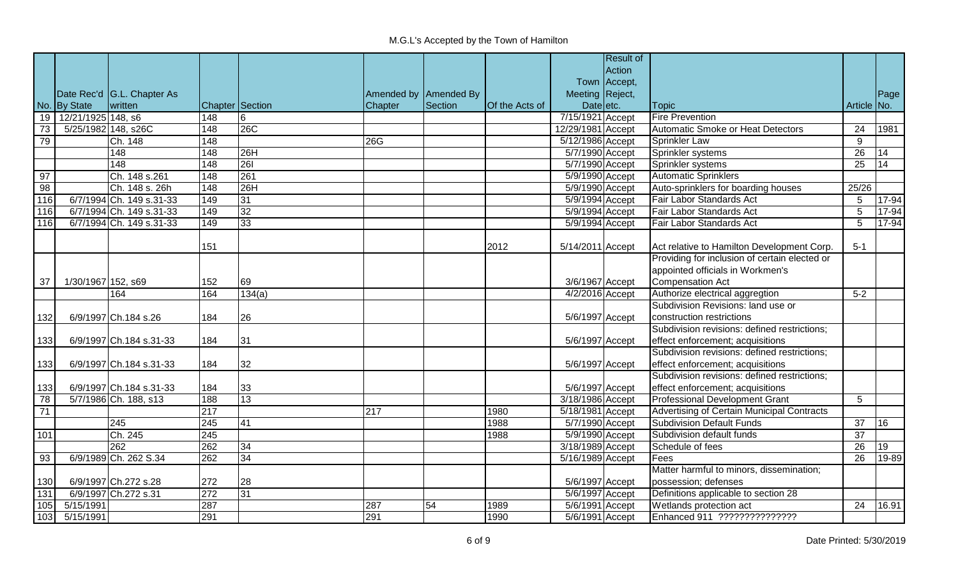|                 |                    |                            |                        |                     |         |                       |                |                   | <b>Result of</b> |                                               |                 |           |
|-----------------|--------------------|----------------------------|------------------------|---------------------|---------|-----------------------|----------------|-------------------|------------------|-----------------------------------------------|-----------------|-----------|
|                 |                    |                            |                        |                     |         |                       |                |                   | Action           |                                               |                 |           |
|                 |                    |                            |                        |                     |         |                       |                |                   | Town Accept,     |                                               |                 |           |
|                 |                    | Date Rec'd G.L. Chapter As |                        |                     |         | Amended by Amended By |                | Meeting Reject,   |                  |                                               |                 | Page      |
|                 | No. By State       | written                    | <b>Chapter Section</b> |                     | Chapter | Section               | Of the Acts of | Date $etc.$       |                  | Topic                                         | Article No.     |           |
| 19              | 12/21/1925 148, s6 |                            | $\overline{148}$       | 6                   |         |                       |                | 7/15/1921 Accept  |                  | <b>Fire Prevention</b>                        |                 |           |
| $\overline{73}$ |                    | 5/25/1982 148, s26C        | 148                    | 26C                 |         |                       |                | 12/29/1981 Accept |                  | Automatic Smoke or Heat Detectors             | 24              | 1981      |
| 79              |                    | Ch. 148                    | $\overline{148}$       |                     | 26G     |                       |                | 5/12/1986 Accept  |                  | Sprinkler Law                                 | 9               |           |
|                 |                    | 148                        | $\overline{148}$       | 26H                 |         |                       |                | 5/7/1990 Accept   |                  | Sprinkler systems                             | $\overline{26}$ | 14        |
|                 |                    | 148                        | 148                    | 261                 |         |                       |                | 5/7/1990 Accept   |                  | Sprinkler systems                             | $\overline{25}$ | 14        |
| 97              |                    | Ch. 148 s.261              | $\overline{148}$       | 261                 |         |                       |                | 5/9/1990 Accept   |                  | <b>Automatic Sprinklers</b>                   |                 |           |
| 98              |                    | Ch. 148 s. 26h             | 148                    | 26H                 |         |                       |                | 5/9/1990 Accept   |                  | Auto-sprinklers for boarding houses           | 25/26           |           |
| 116             |                    | 6/7/1994 Ch. 149 s.31-33   | 149                    | 31                  |         |                       |                | 5/9/1994 Accept   |                  | <b>Fair Labor Standards Act</b>               | 5               | $17 - 94$ |
| 116             |                    | 6/7/1994 Ch. 149 s.31-33   | 149                    | 32                  |         |                       |                | 5/9/1994 Accept   |                  | <b>Fair Labor Standards Act</b>               | 5               | $17 - 94$ |
| 116             |                    | 6/7/1994 Ch. 149 s.31-33   | 149                    | 33                  |         |                       |                | 5/9/1994 Accept   |                  | Fair Labor Standards Act                      | 5               | $17 - 94$ |
|                 |                    |                            |                        |                     |         |                       |                |                   |                  |                                               |                 |           |
|                 |                    |                            | 151                    |                     |         |                       | 2012           | 5/14/2011 Accept  |                  | Act relative to Hamilton Development Corp.    | $5 - 1$         |           |
|                 |                    |                            |                        |                     |         |                       |                |                   |                  | Providing for inclusion of certain elected or |                 |           |
|                 |                    |                            |                        |                     |         |                       |                |                   |                  | appointed officials in Workmen's              |                 |           |
| 37              | 1/30/1967 152, s69 |                            | 152                    | 69                  |         |                       |                | 3/6/1967 Accept   |                  | Compensation Act                              |                 |           |
|                 |                    | 164                        | 164                    | $\overline{134(a)}$ |         |                       |                | 4/2/2016 Accept   |                  | Authorize electrical aggregtion               | $5-2$           |           |
|                 |                    |                            |                        |                     |         |                       |                |                   |                  | Subdivision Revisions: land use or            |                 |           |
| 132             |                    | 6/9/1997 Ch.184 s.26       | 184                    | 26                  |         |                       |                | 5/6/1997 Accept   |                  | construction restrictions                     |                 |           |
|                 |                    |                            |                        |                     |         |                       |                |                   |                  | Subdivision revisions: defined restrictions;  |                 |           |
| 133             |                    | 6/9/1997 Ch.184 s.31-33    | 184                    | 31                  |         |                       |                | 5/6/1997 Accept   |                  | effect enforcement; acquisitions              |                 |           |
|                 |                    |                            |                        |                     |         |                       |                |                   |                  | Subdivision revisions: defined restrictions;  |                 |           |
| 133             |                    | 6/9/1997 Ch.184 s.31-33    | 184                    | 32                  |         |                       |                | 5/6/1997 Accept   |                  | effect enforcement; acquisitions              |                 |           |
|                 |                    |                            |                        |                     |         |                       |                |                   |                  | Subdivision revisions: defined restrictions;  |                 |           |
| 133             |                    | 6/9/1997 Ch.184 s.31-33    | 184                    | 33                  |         |                       |                | 5/6/1997 Accept   |                  | effect enforcement; acquisitions              |                 |           |
| 78              |                    | 5/7/1986 Ch. 188, s13      | 188                    | $\overline{13}$     |         |                       |                | 3/18/1986 Accept  |                  | <b>Professional Development Grant</b>         | 5               |           |
| 71              |                    |                            | 217                    |                     | 217     |                       | 1980           | 5/18/1981 Accept  |                  | Advertising of Certain Municipal Contracts    |                 |           |
|                 |                    | 245                        | 245                    | 41                  |         |                       | 1988           | 5/7/1990 Accept   |                  | <b>Subdivision Default Funds</b>              | $\overline{37}$ | 16        |
| 101             |                    | Ch. 245                    | 245                    |                     |         |                       | 1988           | 5/9/1990 Accept   |                  | Subdivision default funds                     | 37              |           |
|                 |                    | 262                        | 262                    | 34                  |         |                       |                | 3/18/1989 Accept  |                  | Schedule of fees                              | 26              | 19        |
| $\overline{93}$ |                    | 6/9/1989 Ch. 262 S.34      | 262                    | 34                  |         |                       |                | 5/16/1989 Accept  |                  | Fees                                          | $\overline{26}$ | 19-89     |
|                 |                    |                            |                        |                     |         |                       |                |                   |                  | Matter harmful to minors, dissemination;      |                 |           |
| 130             |                    | 6/9/1997 Ch.272 s.28       | 272                    | 28                  |         |                       |                | 5/6/1997 Accept   |                  | possession; defenses                          |                 |           |
| 131             |                    | 6/9/1997 Ch.272 s.31       | 272                    | 31                  |         |                       |                | 5/6/1997 Accept   |                  | Definitions applicable to section 28          |                 |           |
| 105             | 5/15/1991          |                            | 287                    |                     | 287     | 54                    | 1989           | 5/6/1991 Accept   |                  | Wetlands protection act                       | 24              | 16.91     |
| 103             | 5/15/1991          |                            | 291                    |                     | 291     |                       | 1990           | 5/6/1991 Accept   |                  | Enhanced 911 ???????????????                  |                 |           |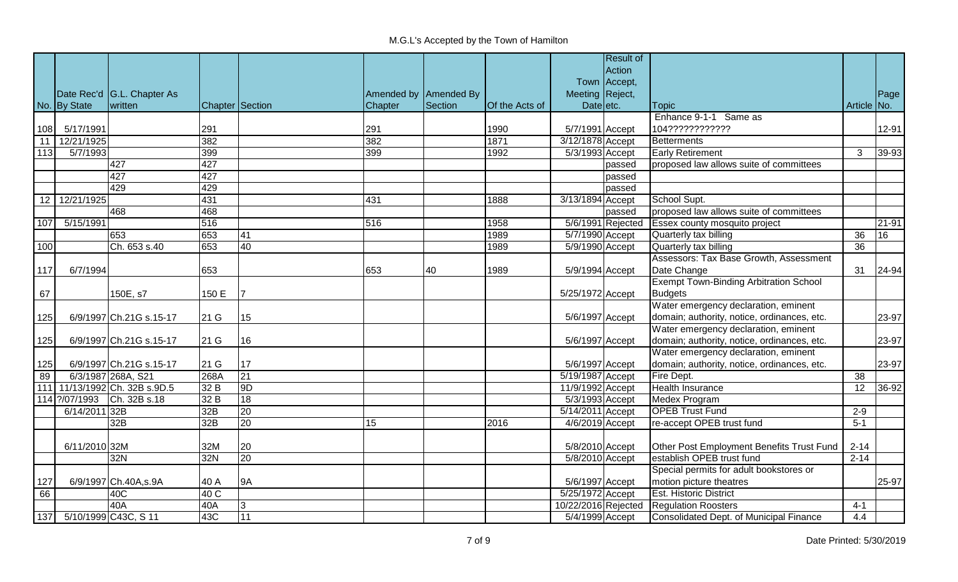|                 |               |                               |                        |                 |         |                       |                |                     | Result of         |                                               |                 |                |
|-----------------|---------------|-------------------------------|------------------------|-----------------|---------|-----------------------|----------------|---------------------|-------------------|-----------------------------------------------|-----------------|----------------|
|                 |               |                               |                        |                 |         |                       |                |                     | Action            |                                               |                 |                |
|                 |               |                               |                        |                 |         |                       |                |                     | Town Accept,      |                                               |                 |                |
|                 |               | Date Rec'd G.L. Chapter As    |                        |                 |         | Amended by Amended By |                | Meeting Reject,     |                   |                                               |                 | Page           |
|                 | No. By State  | written                       | <b>Chapter Section</b> |                 | Chapter | Section               | Of the Acts of | Date etc.           |                   | <b>Topic</b>                                  | Article No.     |                |
|                 |               |                               |                        |                 |         |                       |                |                     |                   | Enhance 9-1-1 Same as                         |                 |                |
|                 | 108 5/17/1991 |                               | 291                    |                 | 291     |                       | 1990           | 5/7/1991 Accept     |                   | 104????????????                               |                 | 12-91          |
| $\overline{11}$ | 12/21/1925    |                               | 382                    |                 | 382     |                       | 1871           | 3/12/1878 Accept    |                   | <b>Betterments</b>                            |                 |                |
| 113             | 5/7/1993      |                               | 399                    |                 | 399     |                       | 1992           | 5/3/1993 Accept     |                   | <b>Early Retirement</b>                       | 3               | 39-93          |
|                 |               | 427                           | 427                    |                 |         |                       |                |                     | passed            | proposed law allows suite of committees       |                 |                |
|                 |               | 427                           | 427                    |                 |         |                       |                |                     | passed            |                                               |                 |                |
|                 |               | 429                           | 429                    |                 |         |                       |                |                     | passed            |                                               |                 |                |
| 12              | 12/21/1925    |                               | 431                    |                 | 431     |                       | 1888           | 3/13/1894 Accept    |                   | School Supt.                                  |                 |                |
|                 |               | 468                           | 468                    |                 |         |                       |                |                     | passed            | proposed law allows suite of committees       |                 |                |
| 107             | 5/15/1991     |                               | 516                    |                 | 516     |                       | 1958           |                     | 5/6/1991 Rejected | Essex county mosquito project                 |                 | $\sqrt{21-91}$ |
|                 |               | 653                           | 653                    | 41              |         |                       | 1989           | 5/7/1990 Accept     |                   | Quarterly tax billing                         | $\overline{36}$ | 16             |
| 100             |               | Ch. 653 s.40                  | 653                    | 40              |         |                       | 1989           | 5/9/1990 Accept     |                   | Quarterly tax billing                         | 36              |                |
|                 |               |                               |                        |                 |         |                       |                |                     |                   | Assessors: Tax Base Growth, Assessment        |                 |                |
| 117             | 6/7/1994      |                               | 653                    |                 | 653     | 40                    | 1989           | 5/9/1994 Accept     |                   | Date Change                                   | 31              | 24-94          |
|                 |               |                               |                        |                 |         |                       |                |                     |                   | <b>Exempt Town-Binding Arbitration School</b> |                 |                |
| 67              |               | 150E, s7                      | 150 E                  |                 |         |                       |                | 5/25/1972 Accept    |                   | <b>Budgets</b>                                |                 |                |
|                 |               |                               |                        |                 |         |                       |                |                     |                   | Water emergency declaration, eminent          |                 |                |
| 125             |               | 6/9/1997 Ch.21G s.15-17       | 21 G                   | 15              |         |                       |                | 5/6/1997 Accept     |                   | domain; authority, notice, ordinances, etc.   |                 | 23-97          |
|                 |               |                               |                        |                 |         |                       |                |                     |                   | Water emergency declaration, eminent          |                 |                |
| 125             |               | 6/9/1997 Ch.21G s.15-17       | 21 G                   | 16              |         |                       |                | 5/6/1997 Accept     |                   | domain; authority, notice, ordinances, etc.   |                 | 23-97          |
|                 |               |                               |                        |                 |         |                       |                |                     |                   | Water emergency declaration, eminent          |                 |                |
| 125             |               | 6/9/1997 Ch.21G s.15-17       | 21G                    | 17              |         |                       |                | 5/6/1997 Accept     |                   | domain; authority, notice, ordinances, etc.   |                 | 23-97          |
| 89              |               | 6/3/1987 268A, S21            | 268A                   | $\overline{21}$ |         |                       |                | 5/19/1987 Accept    |                   | Fire Dept.                                    | 38              |                |
|                 |               | 111 11/13/1992 Ch. 32B s.9D.5 | 32B                    | 9 <sub>D</sub>  |         |                       |                | 11/9/1992 Accept    |                   | <b>Health Insurance</b>                       | 12              | 36-92          |
|                 | 114 ?/07/1993 | Ch. 32B s.18                  | 32B                    | $\overline{18}$ |         |                       |                | 5/3/1993 Accept     |                   | <b>Medex Program</b>                          |                 |                |
|                 | 6/14/2011 32B |                               | 32B                    | 20              |         |                       |                | 5/14/2011 Accept    |                   | <b>OPEB Trust Fund</b>                        | $2 - 9$         |                |
|                 |               | 32B                           | 32B                    | 20              | 15      |                       | 2016           | 4/6/2019 Accept     |                   | re-accept OPEB trust fund                     | $5 - 1$         |                |
|                 |               |                               |                        |                 |         |                       |                |                     |                   |                                               |                 |                |
|                 | 6/11/2010 32M |                               | 32M                    | 20              |         |                       |                | 5/8/2010 Accept     |                   | Other Post Employment Benefits Trust Fund     | $2 - 14$        |                |
|                 |               | 32N                           | 32N                    | 20              |         |                       |                | 5/8/2010 Accept     |                   | establish OPEB trust fund                     | $2 - 14$        |                |
|                 |               |                               |                        |                 |         |                       |                |                     |                   | Special permits for adult bookstores or       |                 |                |
| 127             |               | 6/9/1997 Ch.40A,s.9A          | 40 A                   | <b>9A</b>       |         |                       |                | 5/6/1997 Accept     |                   | motion picture theatres                       |                 | 25-97          |
| 66              |               | 40 <sup>C</sup>               | 40 C                   |                 |         |                       |                | 5/25/1972 Accept    |                   | <b>Est. Historic District</b>                 |                 |                |
|                 |               | 40A                           | 40A                    | 3               |         |                       |                | 10/22/2016 Rejected |                   | <b>Regulation Roosters</b>                    | $4 - 1$         |                |
| 137             |               | 5/10/1999 C43C, S11           | 43C                    | 11              |         |                       |                | 5/4/1999 Accept     |                   | Consolidated Dept. of Municipal Finance       | 4.4             |                |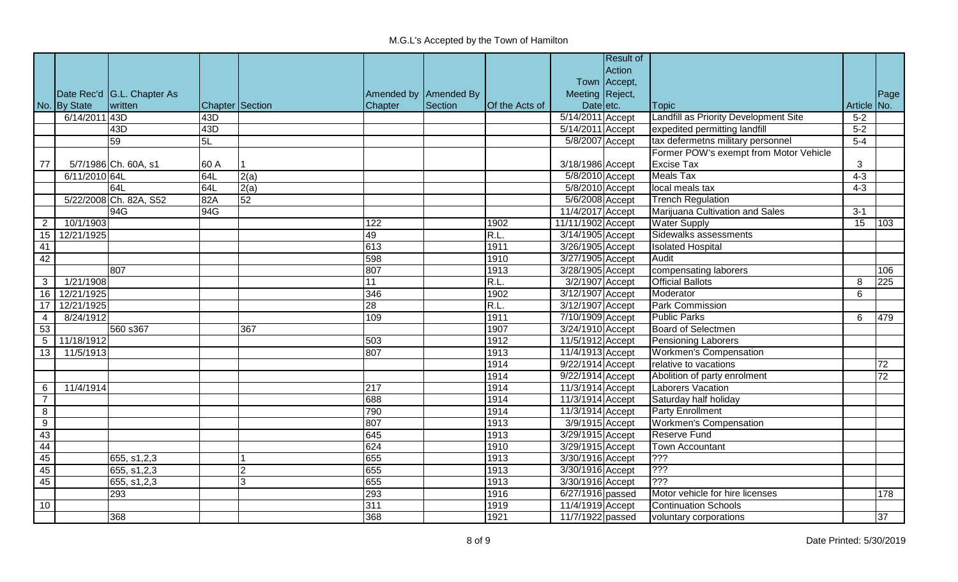|                         |               |                            |                 |                |         |                       |                |                   | <b>Result of</b> |                                        |             |                 |
|-------------------------|---------------|----------------------------|-----------------|----------------|---------|-----------------------|----------------|-------------------|------------------|----------------------------------------|-------------|-----------------|
|                         |               |                            |                 |                |         |                       |                |                   | Action           |                                        |             |                 |
|                         |               |                            |                 |                |         |                       |                |                   | Town Accept,     |                                        |             |                 |
|                         |               | Date Rec'd G.L. Chapter As |                 |                |         | Amended by Amended By |                | Meeting Reject,   |                  |                                        |             | Page            |
|                         | No. By State  | written                    | Chapter Section |                | Chapter | Section               | Of the Acts of | Date etc.         |                  | <b>Topic</b>                           | Article No. |                 |
|                         | 6/14/2011     | 43D                        | 43D             |                |         |                       |                | 5/14/2011 Accept  |                  | Landfill as Priority Development Site  | $5-2$       |                 |
|                         |               | 43D                        | 43D             |                |         |                       |                | 5/14/2011 Accept  |                  | expedited permitting landfill          | $5-2$       |                 |
|                         |               | 59                         | 5L              |                |         |                       |                | 5/8/2007 Accept   |                  | tax defermetns military personnel      | $5-4$       |                 |
|                         |               |                            |                 |                |         |                       |                |                   |                  | Former POW's exempt from Motor Vehicle |             |                 |
| 77                      |               | 5/7/1986 Ch. 60A, s1       | 60 A            |                |         |                       |                | 3/18/1986 Accept  |                  | <b>Excise Tax</b>                      | 3           |                 |
|                         | 6/11/2010 64L |                            | 64L             | 2(a)           |         |                       |                | 5/8/2010 Accept   |                  | <b>Meals Tax</b>                       | $4 - 3$     |                 |
|                         |               | 64L                        | 64L             | 2(a)           |         |                       |                | 5/8/2010 Accept   |                  | local meals tax                        | $4 - 3$     |                 |
|                         |               | 5/22/2008 Ch. 82A, S52     | 82A             | 52             |         |                       |                | 5/6/2008 Accept   |                  | <b>Trench Regulation</b>               |             |                 |
|                         |               | 94G                        | 94G             |                |         |                       |                | 11/4/2017 Accept  |                  | Marijuana Cultivation and Sales        | $3 - 1$     |                 |
| $\overline{2}$          | 10/1/1903     |                            |                 |                | 122     |                       | 1902           | 11/11/1902 Accept |                  | <b>Water Supply</b>                    | 15          | 103             |
| 15                      | 12/21/1925    |                            |                 |                | 49      |                       | R.L.           | 3/14/1905 Accept  |                  | Sidewalks assessments                  |             |                 |
| 41                      |               |                            |                 |                | 613     |                       | 1911           | 3/26/1905 Accept  |                  | <b>Isolated Hospital</b>               |             |                 |
| 42                      |               |                            |                 |                | 598     |                       | 1910           | 3/27/1905 Accept  |                  | Audit                                  |             |                 |
|                         |               | 807                        |                 |                | 807     |                       | 1913           | 3/28/1905 Accept  |                  | compensating laborers                  |             | 106             |
| 3                       | 1/21/1908     |                            |                 |                | 11      |                       | R.L.           | 3/2/1907 Accept   |                  | <b>Official Ballots</b>                | 8           | 225             |
| 16                      | 12/21/1925    |                            |                 |                | 346     |                       | 1902           | 3/12/1907 Accept  |                  | Moderator                              | 6           |                 |
| $\overline{17}$         | 12/21/1925    |                            |                 |                | 28      |                       | R.L.           | 3/12/1907 Accept  |                  | <b>Park Commission</b>                 |             |                 |
| $\overline{4}$          | 8/24/1912     |                            |                 |                | 109     |                       | 1911           | 7/10/1909 Accept  |                  | <b>Public Parks</b>                    | 6           | 479             |
| 53                      |               | 560 s367                   |                 | 367            |         |                       | 1907           | 3/24/1910 Accept  |                  | <b>Board of Selectmen</b>              |             |                 |
| $\overline{5}$          | 11/18/1912    |                            |                 |                | 503     |                       | 1912           | 11/5/1912 Accept  |                  | <b>Pensioning Laborers</b>             |             |                 |
| 13                      | 11/5/1913     |                            |                 |                | 807     |                       | 1913           | 11/4/1913 Accept  |                  | <b>Workmen's Compensation</b>          |             |                 |
|                         |               |                            |                 |                |         |                       | 1914           | 9/22/1914 Accept  |                  | relative to vacations                  |             | $\overline{72}$ |
|                         |               |                            |                 |                |         |                       | 1914           | 9/22/1914 Accept  |                  | Abolition of party enrolment           |             | $\overline{72}$ |
| 6                       | 11/4/1914     |                            |                 |                | 217     |                       | 1914           | 11/3/1914 Accept  |                  | <b>Laborers Vacation</b>               |             |                 |
| $\overline{7}$          |               |                            |                 |                | 688     |                       | 1914           | 11/3/1914 Accept  |                  | Saturday half holiday                  |             |                 |
| $\overline{\mathbf{8}}$ |               |                            |                 |                | 790     |                       | 1914           | 11/3/1914 Accept  |                  | <b>Party Enrollment</b>                |             |                 |
| $\overline{9}$          |               |                            |                 |                | 807     |                       | 1913           | 3/9/1915 Accept   |                  | <b>Workmen's Compensation</b>          |             |                 |
| 43                      |               |                            |                 |                | 645     |                       | 1913           | 3/29/1915 Accept  |                  | <b>Reserve Fund</b>                    |             |                 |
| 44                      |               |                            |                 |                | 624     |                       | 1910           | 3/29/1915 Accept  |                  | <b>Town Accountant</b>                 |             |                 |
| 45                      |               | 655, s1, 2, 3              |                 |                | 655     |                       | 1913           | 3/30/1916 Accept  |                  | 222                                    |             |                 |
| 45                      |               | 655, s1,2,3                |                 | $\overline{2}$ | 655     |                       | 1913           | 3/30/1916 Accept  |                  | 222                                    |             |                 |
| 45                      |               | 655, s1, 2, 3              |                 | 3              | 655     |                       | 1913           | 3/30/1916 Accept  |                  | $\overline{?}$                         |             |                 |
|                         |               | 293                        |                 |                | 293     |                       | 1916           | 6/27/1916 passed  |                  | Motor vehicle for hire licenses        |             | 178             |
| 10                      |               |                            |                 |                | 311     |                       | 1919           | 11/4/1919 Accept  |                  | <b>Continuation Schools</b>            |             |                 |
|                         |               | 368                        |                 |                | 368     |                       | 1921           | 11/7/1922 passed  |                  | voluntary corporations                 |             | 37              |